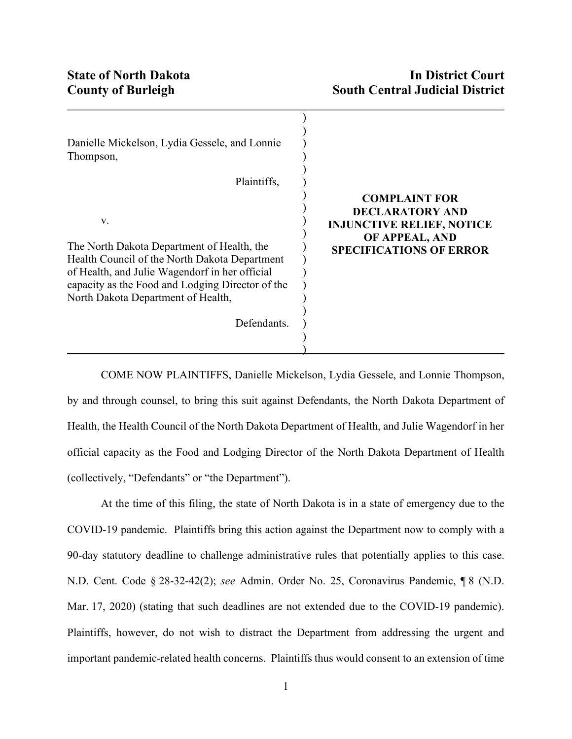| Danielle Mickelson, Lydia Gessele, and Lonnie<br>Thompson,                                                                                                                                                                                                   |                                                                                                                                        |
|--------------------------------------------------------------------------------------------------------------------------------------------------------------------------------------------------------------------------------------------------------------|----------------------------------------------------------------------------------------------------------------------------------------|
| Plaintiffs,                                                                                                                                                                                                                                                  |                                                                                                                                        |
| V.<br>The North Dakota Department of Health, the<br>Health Council of the North Dakota Department<br>of Health, and Julie Wagendorf in her official<br>capacity as the Food and Lodging Director of the<br>North Dakota Department of Health,<br>Defendants. | <b>COMPLAINT FOR</b><br><b>DECLARATORY AND</b><br><b>INJUNCTIVE RELIEF, NOTICE</b><br>OF APPEAL, AND<br><b>SPECIFICATIONS OF ERROR</b> |
|                                                                                                                                                                                                                                                              |                                                                                                                                        |

COME NOW PLAINTIFFS, Danielle Mickelson, Lydia Gessele, and Lonnie Thompson, by and through counsel, to bring this suit against Defendants, the North Dakota Department of Health, the Health Council of the North Dakota Department of Health, and Julie Wagendorf in her official capacity as the Food and Lodging Director of the North Dakota Department of Health (collectively, "Defendants" or "the Department").

At the time of this filing, the state of North Dakota is in a state of emergency due to the COVID-19 pandemic. Plaintiffs bring this action against the Department now to comply with a 90-day statutory deadline to challenge administrative rules that potentially applies to this case. N.D. Cent. Code § 28-32-42(2); *see* Admin. Order No. 25, Coronavirus Pandemic, ¶ 8 (N.D. Mar. 17, 2020) (stating that such deadlines are not extended due to the COVID-19 pandemic). Plaintiffs, however, do not wish to distract the Department from addressing the urgent and important pandemic-related health concerns. Plaintiffs thus would consent to an extension of time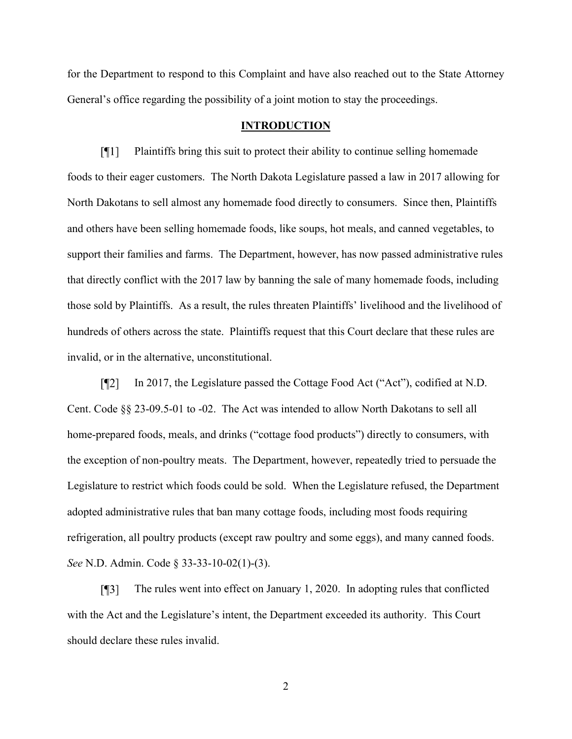for the Department to respond to this Complaint and have also reached out to the State Attorney General's office regarding the possibility of a joint motion to stay the proceedings.

### **INTRODUCTION**

 $\lceil \P 1 \rceil$ Plaintiffs bring this suit to protect their ability to continue selling homemade foods to their eager customers. The North Dakota Legislature passed a law in 2017 allowing for North Dakotans to sell almost any homemade food directly to consumers. Since then, Plaintiffs and others have been selling homemade foods, like soups, hot meals, and canned vegetables, to support their families and farms. The Department, however, has now passed administrative rules that directly conflict with the 2017 law by banning the sale of many homemade foods, including those sold by Plaintiffs. As a result, the rules threaten Plaintiffs' livelihood and the livelihood of hundreds of others across the state. Plaintiffs request that this Court declare that these rules are invalid, or in the alternative, unconstitutional.

In 2017, the Legislature passed the Cottage Food Act ("Act"), codified at N.D.  $\lceil \P2 \rceil$ Cent. Code §§ 23-09.5-01 to -02. The Act was intended to allow North Dakotans to sell all home-prepared foods, meals, and drinks ("cottage food products") directly to consumers, with the exception of non-poultry meats. The Department, however, repeatedly tried to persuade the Legislature to restrict which foods could be sold. When the Legislature refused, the Department adopted administrative rules that ban many cottage foods, including most foods requiring refrigeration, all poultry products (except raw poultry and some eggs), and many canned foods. *See* N.D. Admin. Code § 33-33-10-02(1)-(3).

 $\lceil \P 3 \rceil$ The rules went into effect on January 1, 2020. In adopting rules that conflicted with the Act and the Legislature's intent, the Department exceeded its authority. This Court should declare these rules invalid.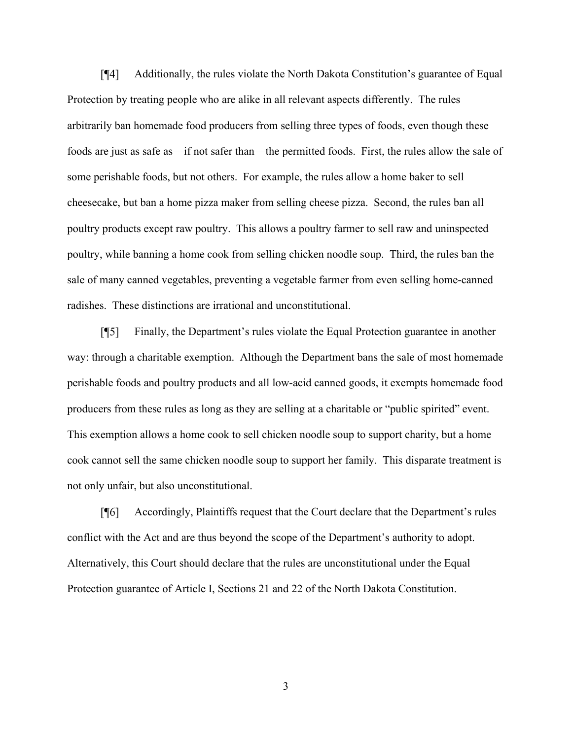$\sqrt{41}$ Additionally, the rules violate the North Dakota Constitution's guarantee of Equal Protection by treating people who are alike in all relevant aspects differently. The rules arbitrarily ban homemade food producers from selling three types of foods, even though these foods are just as safe as—if not safer than—the permitted foods. First, the rules allow the sale of some perishable foods, but not others. For example, the rules allow a home baker to sell cheesecake, but ban a home pizza maker from selling cheese pizza. Second, the rules ban all poultry products except raw poultry. This allows a poultry farmer to sell raw and uninspected poultry, while banning a home cook from selling chicken noodle soup. Third, the rules ban the sale of many canned vegetables, preventing a vegetable farmer from even selling home-canned radishes. These distinctions are irrational and unconstitutional.

 $\sqrt{5}$ Finally, the Department's rules violate the Equal Protection guarantee in another way: through a charitable exemption. Although the Department bans the sale of most homemade perishable foods and poultry products and all low-acid canned goods, it exempts homemade food producers from these rules as long as they are selling at a charitable or "public spirited" event. This exemption allows a home cook to sell chicken noodle soup to support charity, but a home cook cannot sell the same chicken noodle soup to support her family. This disparate treatment is not only unfair, but also unconstitutional.

Accordingly, Plaintiffs request that the Court declare that the Department's rules  $\lceil \mathsf{M}6 \rceil$ conflict with the Act and are thus beyond the scope of the Department's authority to adopt. Alternatively, this Court should declare that the rules are unconstitutional under the Equal Protection guarantee of Article I, Sections 21 and 22 of the North Dakota Constitution.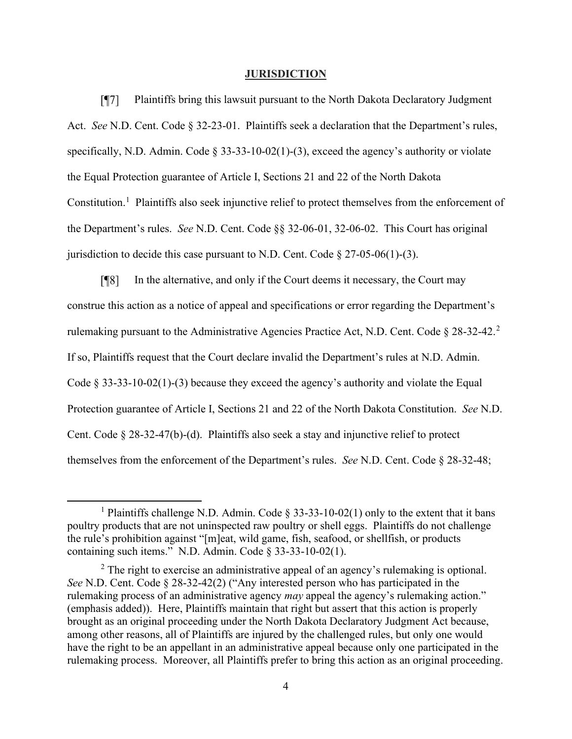### **JURISDICTION**

 $\sqrt{97}$ Plaintiffs bring this lawsuit pursuant to the North Dakota Declaratory Judgment Act. *See* N.D. Cent. Code § 32-23-01. Plaintiffs seek a declaration that the Department's rules, specifically, N.D. Admin. Code § 33-33-10-02(1)-(3), exceed the agency's authority or violate the Equal Protection guarantee of Article I, Sections 21 and 22 of the North Dakota Constitution.<sup>[1](#page-3-0)</sup> Plaintiffs also seek injunctive relief to protect themselves from the enforcement of the Department's rules. *See* N.D. Cent. Code §§ 32-06-01, 32-06-02. This Court has original jurisdiction to decide this case pursuant to N.D. Cent. Code  $\S 27-05-06(1)-(3)$ .

In the alternative, and only if the Court deems it necessary, the Court may  $\sqrt{8}$ construe this action as a notice of appeal and specifications or error regarding the Department's rulemaking pursuant to the Administrative Agencies Practice Act, N.D. Cent. Code § 28-32-42.[2](#page-3-1) If so, Plaintiffs request that the Court declare invalid the Department's rules at N.D. Admin. Code § 33-33-10-02(1)-(3) because they exceed the agency's authority and violate the Equal Protection guarantee of Article I, Sections 21 and 22 of the North Dakota Constitution. *See* N.D. Cent. Code § 28-32-47(b)-(d). Plaintiffs also seek a stay and injunctive relief to protect themselves from the enforcement of the Department's rules. *See* N.D. Cent. Code § 28-32-48;

<span id="page-3-0"></span><sup>&</sup>lt;sup>1</sup> Plaintiffs challenge N.D. Admin. Code  $\S 33-33-10-02(1)$  only to the extent that it bans poultry products that are not uninspected raw poultry or shell eggs. Plaintiffs do not challenge the rule's prohibition against "[m]eat, wild game, fish, seafood, or shellfish, or products containing such items." N.D. Admin. Code § 33-33-10-02(1).

<span id="page-3-1"></span> $2$  The right to exercise an administrative appeal of an agency's rulemaking is optional. *See* N.D. Cent. Code § 28-32-42(2) ("Any interested person who has participated in the rulemaking process of an administrative agency *may* appeal the agency's rulemaking action." (emphasis added)). Here, Plaintiffs maintain that right but assert that this action is properly brought as an original proceeding under the North Dakota Declaratory Judgment Act because, among other reasons, all of Plaintiffs are injured by the challenged rules, but only one would have the right to be an appellant in an administrative appeal because only one participated in the rulemaking process. Moreover, all Plaintiffs prefer to bring this action as an original proceeding.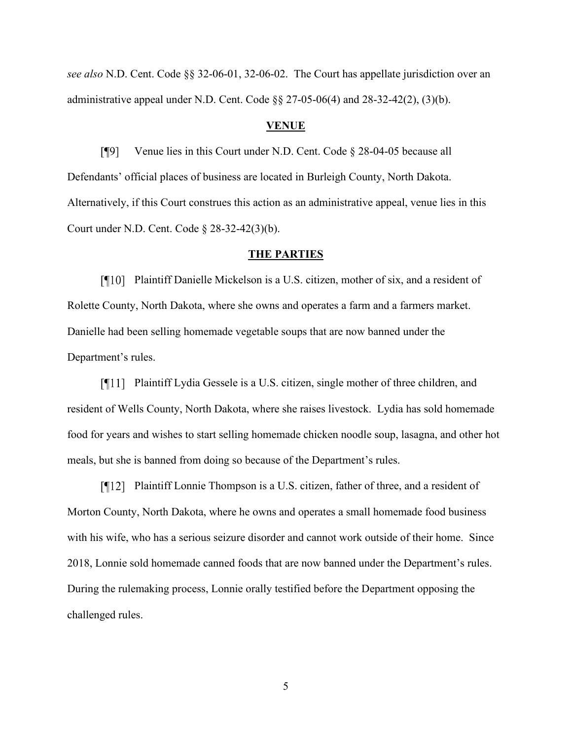*see also* N.D. Cent. Code §§ 32-06-01, 32-06-02. The Court has appellate jurisdiction over an administrative appeal under N.D. Cent. Code §§ 27-05-06(4) and 28-32-42(2), (3)(b).

# **VENUE**

 $[9]$ Venue lies in this Court under N.D. Cent. Code § 28-04-05 because all Defendants' official places of business are located in Burleigh County, North Dakota. Alternatively, if this Court construes this action as an administrative appeal, venue lies in this Court under N.D. Cent. Code § 28-32-42(3)(b).

## **THE PARTIES**

Plaintiff Danielle Mickelson is a U.S. citizen, mother of six, and a resident of Rolette County, North Dakota, where she owns and operates a farm and a farmers market. Danielle had been selling homemade vegetable soups that are now banned under the Department's rules.

Plaintiff Lydia Gessele is a U.S. citizen, single mother of three children, and resident of Wells County, North Dakota, where she raises livestock. Lydia has sold homemade food for years and wishes to start selling homemade chicken noodle soup, lasagna, and other hot meals, but she is banned from doing so because of the Department's rules.

[¶12] Plaintiff Lonnie Thompson is a U.S. citizen, father of three, and a resident of Morton County, North Dakota, where he owns and operates a small homemade food business with his wife, who has a serious seizure disorder and cannot work outside of their home. Since 2018, Lonnie sold homemade canned foods that are now banned under the Department's rules. During the rulemaking process, Lonnie orally testified before the Department opposing the challenged rules.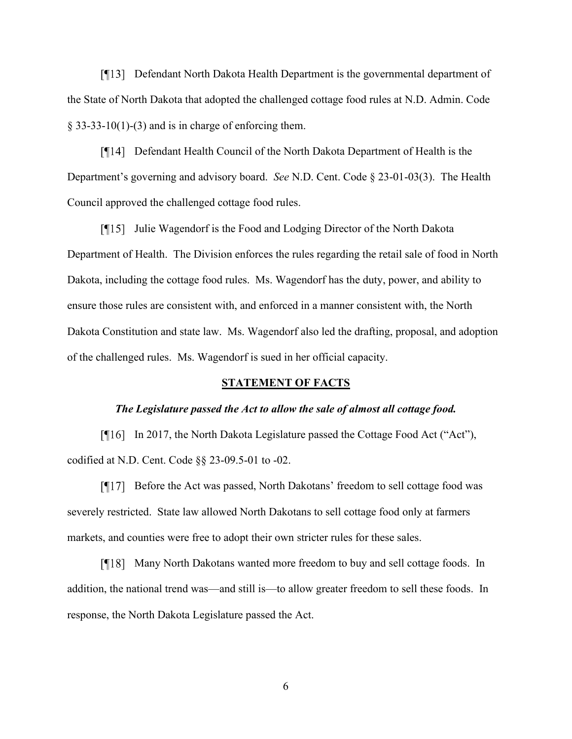Defendant North Dakota Health Department is the governmental department of the State of North Dakota that adopted the challenged cottage food rules at N.D. Admin. Code  $§$  33-33-10(1)-(3) and is in charge of enforcing them.

Defendant Health Council of the North Dakota Department of Health is the Department's governing and advisory board. *See* N.D. Cent. Code § 23-01-03(3). The Health Council approved the challenged cottage food rules.

 $\lceil \cdot \cdot \rceil$  Julie Wagendorf is the Food and Lodging Director of the North Dakota Department of Health. The Division enforces the rules regarding the retail sale of food in North Dakota, including the cottage food rules. Ms. Wagendorf has the duty, power, and ability to ensure those rules are consistent with, and enforced in a manner consistent with, the North Dakota Constitution and state law. Ms. Wagendorf also led the drafting, proposal, and adoption of the challenged rules. Ms. Wagendorf is sued in her official capacity.

## **STATEMENT OF FACTS**

#### *The Legislature passed the Act to allow the sale of almost all cottage food.*

[¶16] In 2017, the North Dakota Legislature passed the Cottage Food Act ("Act"), codified at N.D. Cent. Code §§ 23-09.5-01 to -02.

[¶17] Before the Act was passed, North Dakotans' freedom to sell cottage food was severely restricted. State law allowed North Dakotans to sell cottage food only at farmers markets, and counties were free to adopt their own stricter rules for these sales.

Many North Dakotans wanted more freedom to buy and sell cottage foods. In addition, the national trend was—and still is—to allow greater freedom to sell these foods. In response, the North Dakota Legislature passed the Act.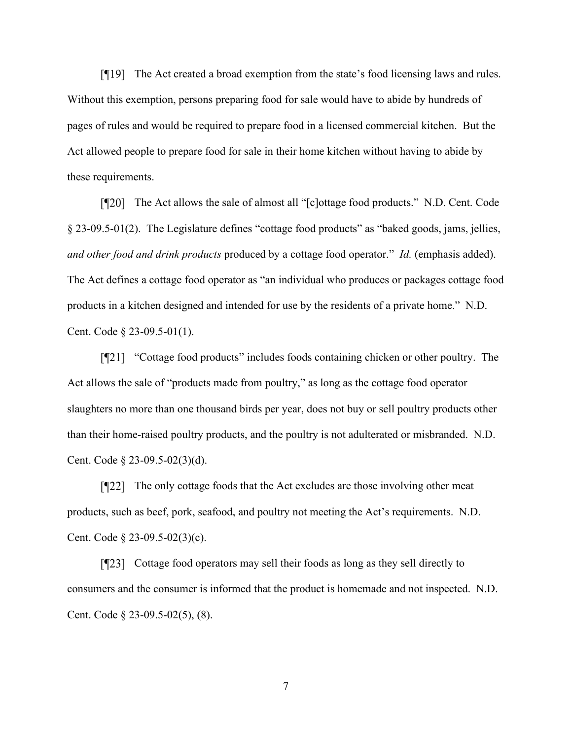The Act created a broad exemption from the state's food licensing laws and rules. Without this exemption, persons preparing food for sale would have to abide by hundreds of pages of rules and would be required to prepare food in a licensed commercial kitchen. But the Act allowed people to prepare food for sale in their home kitchen without having to abide by these requirements.

The Act allows the sale of almost all "[c]ottage food products." N.D. Cent. Code § 23-09.5-01(2). The Legislature defines "cottage food products" as "baked goods, jams, jellies, *and other food and drink products* produced by a cottage food operator." *Id.* (emphasis added). The Act defines a cottage food operator as "an individual who produces or packages cottage food products in a kitchen designed and intended for use by the residents of a private home." N.D. Cent. Code § 23-09.5-01(1).

[¶21] "Cottage food products" includes foods containing chicken or other poultry. The Act allows the sale of "products made from poultry," as long as the cottage food operator slaughters no more than one thousand birds per year, does not buy or sell poultry products other than their home-raised poultry products, and the poultry is not adulterated or misbranded. N.D. Cent. Code § 23-09.5-02(3)(d).

 $[T22]$  The only cottage foods that the Act excludes are those involving other meat products, such as beef, pork, seafood, and poultry not meeting the Act's requirements. N.D. Cent. Code § 23-09.5-02(3)(c).

Cottage food operators may sell their foods as long as they sell directly to consumers and the consumer is informed that the product is homemade and not inspected. N.D. Cent. Code § 23-09.5-02(5), (8).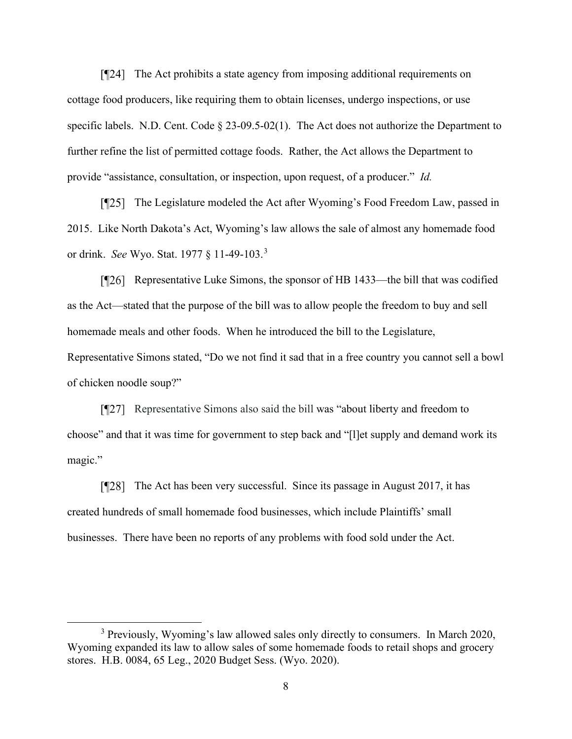[¶24] The Act prohibits a state agency from imposing additional requirements on cottage food producers, like requiring them to obtain licenses, undergo inspections, or use specific labels. N.D. Cent. Code § 23-09.5-02(1). The Act does not authorize the Department to further refine the list of permitted cottage foods. Rather, the Act allows the Department to provide "assistance, consultation, or inspection, upon request, of a producer." *Id.*

[¶25] The Legislature modeled the Act after Wyoming's Food Freedom Law, passed in 2015. Like North Dakota's Act, Wyoming's law allows the sale of almost any homemade food or drink. *See* Wyo. Stat. 1977 § 11-49-103.[3](#page-7-0)

Representative Luke Simons, the sponsor of HB 1433—the bill that was codified as the Act—stated that the purpose of the bill was to allow people the freedom to buy and sell homemade meals and other foods. When he introduced the bill to the Legislature, Representative Simons stated, "Do we not find it sad that in a free country you cannot sell a bowl of chicken noodle soup?"

[¶27] Representative Simons also said the bill was "about liberty and freedom to choose" and that it was time for government to step back and "[l]et supply and demand work its magic."

[¶28] The Act has been very successful. Since its passage in August 2017, it has created hundreds of small homemade food businesses, which include Plaintiffs' small businesses. There have been no reports of any problems with food sold under the Act.

<span id="page-7-0"></span><sup>&</sup>lt;sup>3</sup> Previously, Wyoming's law allowed sales only directly to consumers. In March 2020, Wyoming expanded its law to allow sales of some homemade foods to retail shops and grocery stores. H.B. 0084, 65 Leg., 2020 Budget Sess. (Wyo. 2020).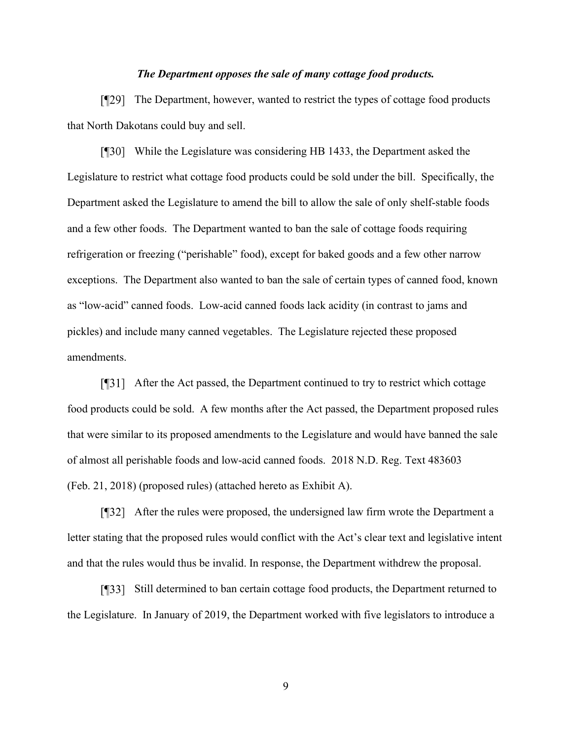# *The Department opposes the sale of many cottage food products.*

The Department, however, wanted to restrict the types of cottage food products that North Dakotans could buy and sell.

While the Legislature was considering HB 1433, the Department asked the Legislature to restrict what cottage food products could be sold under the bill. Specifically, the Department asked the Legislature to amend the bill to allow the sale of only shelf-stable foods and a few other foods. The Department wanted to ban the sale of cottage foods requiring refrigeration or freezing ("perishable" food), except for baked goods and a few other narrow exceptions. The Department also wanted to ban the sale of certain types of canned food, known as "low-acid" canned foods. Low-acid canned foods lack acidity (in contrast to jams and pickles) and include many canned vegetables. The Legislature rejected these proposed amendments.

After the Act passed, the Department continued to try to restrict which cottage food products could be sold. A few months after the Act passed, the Department proposed rules that were similar to its proposed amendments to the Legislature and would have banned the sale of almost all perishable foods and low-acid canned foods. 2018 N.D. Reg. Text 483603 (Feb. 21, 2018) (proposed rules) (attached hereto as Exhibit A).

After the rules were proposed, the undersigned law firm wrote the Department a letter stating that the proposed rules would conflict with the Act's clear text and legislative intent and that the rules would thus be invalid. In response, the Department withdrew the proposal.

Still determined to ban certain cottage food products, the Department returned to the Legislature. In January of 2019, the Department worked with five legislators to introduce a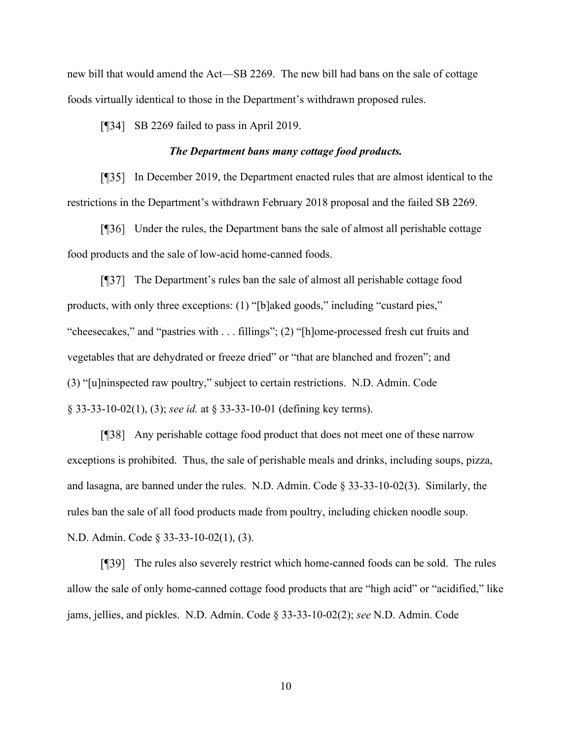new bill that would amend the Act—SB 2269. The new bill had bans on the sale of cottage foods virtually identical to those in the Department's withdrawn proposed rules.

[¶34] SB 2269 failed to pass in April 2019.

# *The Department bans many cottage food products.*

In December 2019, the Department enacted rules that are almost identical to the restrictions in the Department's withdrawn February 2018 proposal and the failed SB 2269.

Under the rules, the Department bans the sale of almost all perishable cottage food products and the sale of low-acid home-canned foods.

The Department's rules ban the sale of almost all perishable cottage food products, with only three exceptions: (1) "[b]aked goods," including "custard pies," "cheesecakes," and "pastries with . . . fillings"; (2) "[h]ome-processed fresh cut fruits and vegetables that are dehydrated or freeze dried" or "that are blanched and frozen"; and (3) "[u]ninspected raw poultry," subject to certain restrictions. N.D. Admin. Code § 33-33-10-02(1), (3); *see id.* at § 33-33-10-01 (defining key terms).

Any perishable cottage food product that does not meet one of these narrow exceptions is prohibited. Thus, the sale of perishable meals and drinks, including soups, pizza, and lasagna, are banned under the rules. N.D. Admin. Code § 33-33-10-02(3). Similarly, the rules ban the sale of all food products made from poultry, including chicken noodle soup. N.D. Admin. Code § 33-33-10-02(1), (3).

The rules also severely restrict which home-canned foods can be sold. The rules allow the sale of only home-canned cottage food products that are "high acid" or "acidified," like jams, jellies, and pickles. N.D. Admin. Code § 33-33-10-02(2); *see* N.D. Admin. Code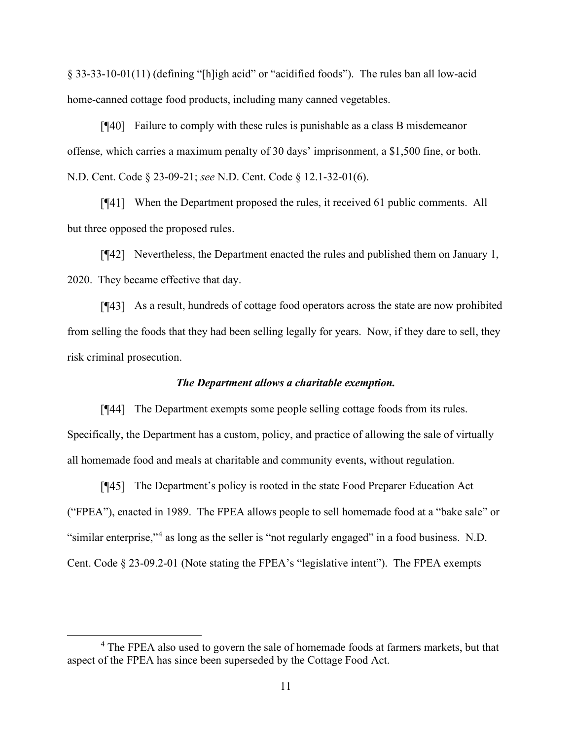§ 33-33-10-01(11) (defining "[h]igh acid" or "acidified foods"). The rules ban all low-acid home-canned cottage food products, including many canned vegetables.

Failure to comply with these rules is punishable as a class B misdemeanor offense, which carries a maximum penalty of 30 days' imprisonment, a \$1,500 fine, or both. N.D. Cent. Code § 23-09-21; *see* N.D. Cent. Code § 12.1-32-01(6).

[¶41] When the Department proposed the rules, it received 61 public comments. All but three opposed the proposed rules.

Nevertheless, the Department enacted the rules and published them on January 1, 2020. They became effective that day.

As a result, hundreds of cottage food operators across the state are now prohibited from selling the foods that they had been selling legally for years. Now, if they dare to sell, they risk criminal prosecution.

# *The Department allows a charitable exemption.*

The Department exempts some people selling cottage foods from its rules. Specifically, the Department has a custom, policy, and practice of allowing the sale of virtually all homemade food and meals at charitable and community events, without regulation.

The Department's policy is rooted in the state Food Preparer Education Act ("FPEA"), enacted in 1989. The FPEA allows people to sell homemade food at a "bake sale" or "similar enterprise,"[4](#page-10-0) as long as the seller is "not regularly engaged" in a food business. N.D. Cent. Code § 23-09.2-01 (Note stating the FPEA's "legislative intent"). The FPEA exempts

<span id="page-10-0"></span><sup>&</sup>lt;sup>4</sup> The FPEA also used to govern the sale of homemade foods at farmers markets, but that aspect of the FPEA has since been superseded by the Cottage Food Act.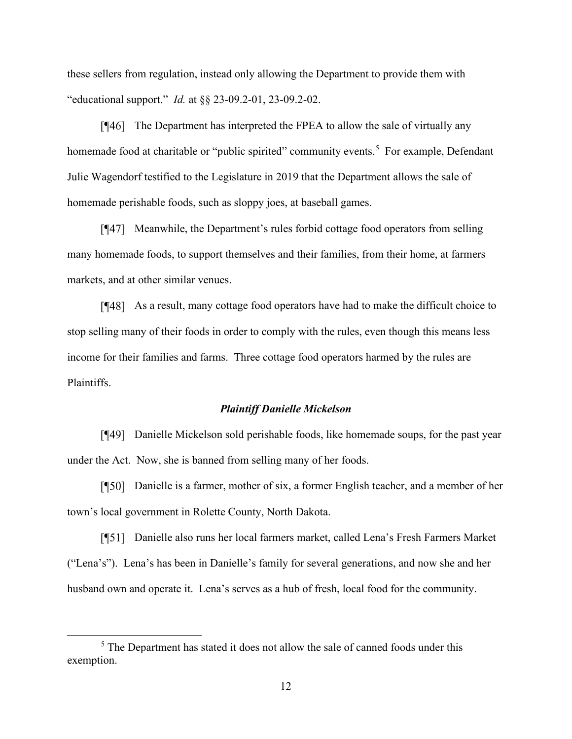these sellers from regulation, instead only allowing the Department to provide them with "educational support." *Id.* at §§ 23-09.2-01, 23-09.2-02.

The Department has interpreted the FPEA to allow the sale of virtually any homemade food at charitable or "public spirited" community events.<sup>[5](#page-11-0)</sup> For example, Defendant Julie Wagendorf testified to the Legislature in 2019 that the Department allows the sale of homemade perishable foods, such as sloppy joes, at baseball games.

Meanwhile, the Department's rules forbid cottage food operators from selling many homemade foods, to support themselves and their families, from their home, at farmers markets, and at other similar venues.

As a result, many cottage food operators have had to make the difficult choice to stop selling many of their foods in order to comply with the rules, even though this means less income for their families and farms. Three cottage food operators harmed by the rules are Plaintiffs.

#### *Plaintiff Danielle Mickelson*

Danielle Mickelson sold perishable foods, like homemade soups, for the past year under the Act. Now, she is banned from selling many of her foods.

Danielle is a farmer, mother of six, a former English teacher, and a member of her town's local government in Rolette County, North Dakota.

Danielle also runs her local farmers market, called Lena's Fresh Farmers Market ("Lena's"). Lena's has been in Danielle's family for several generations, and now she and her husband own and operate it. Lena's serves as a hub of fresh, local food for the community.

<span id="page-11-0"></span><sup>&</sup>lt;sup>5</sup> The Department has stated it does not allow the sale of canned foods under this exemption.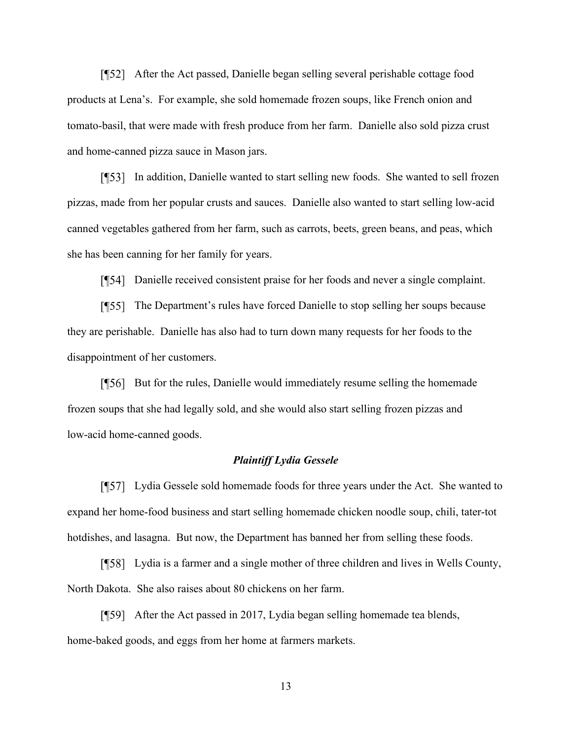After the Act passed, Danielle began selling several perishable cottage food products at Lena's. For example, she sold homemade frozen soups, like French onion and tomato-basil, that were made with fresh produce from her farm. Danielle also sold pizza crust and home-canned pizza sauce in Mason jars.

In addition, Danielle wanted to start selling new foods. She wanted to sell frozen pizzas, made from her popular crusts and sauces. Danielle also wanted to start selling low-acid canned vegetables gathered from her farm, such as carrots, beets, green beans, and peas, which she has been canning for her family for years.

Danielle received consistent praise for her foods and never a single complaint.

The Department's rules have forced Danielle to stop selling her soups because they are perishable. Danielle has also had to turn down many requests for her foods to the disappointment of her customers.

[¶56] But for the rules, Danielle would immediately resume selling the homemade frozen soups that she had legally sold, and she would also start selling frozen pizzas and low-acid home-canned goods.

## *Plaintiff Lydia Gessele*

Lydia Gessele sold homemade foods for three years under the Act. She wanted to expand her home-food business and start selling homemade chicken noodle soup, chili, tater-tot hotdishes, and lasagna. But now, the Department has banned her from selling these foods.

Lydia is a farmer and a single mother of three children and lives in Wells County, North Dakota. She also raises about 80 chickens on her farm.

[¶59] After the Act passed in 2017, Lydia began selling homemade tea blends, home-baked goods, and eggs from her home at farmers markets.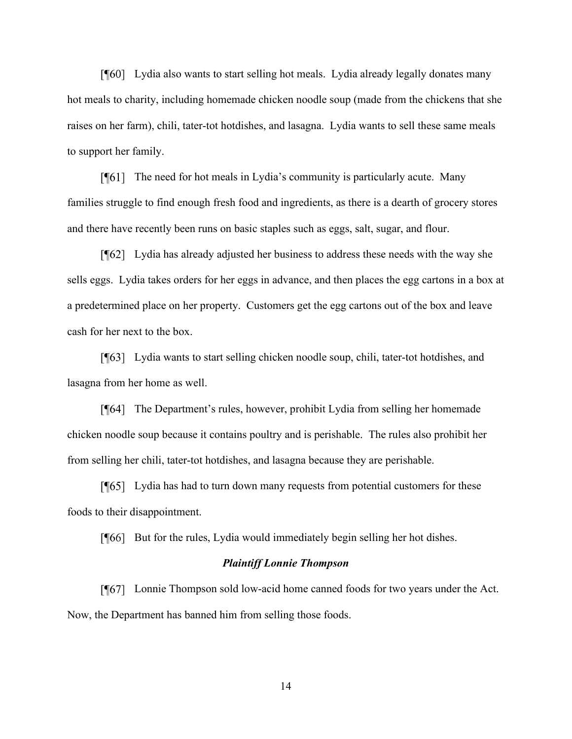Lydia also wants to start selling hot meals. Lydia already legally donates many hot meals to charity, including homemade chicken noodle soup (made from the chickens that she raises on her farm), chili, tater-tot hotdishes, and lasagna. Lydia wants to sell these same meals to support her family.

The need for hot meals in Lydia's community is particularly acute. Many families struggle to find enough fresh food and ingredients, as there is a dearth of grocery stores and there have recently been runs on basic staples such as eggs, salt, sugar, and flour.

Lydia has already adjusted her business to address these needs with the way she sells eggs. Lydia takes orders for her eggs in advance, and then places the egg cartons in a box at a predetermined place on her property. Customers get the egg cartons out of the box and leave cash for her next to the box.

Lydia wants to start selling chicken noodle soup, chili, tater-tot hotdishes, and lasagna from her home as well.

The Department's rules, however, prohibit Lydia from selling her homemade chicken noodle soup because it contains poultry and is perishable. The rules also prohibit her from selling her chili, tater-tot hotdishes, and lasagna because they are perishable.

[¶65] Lydia has had to turn down many requests from potential customers for these foods to their disappointment.

[[[66] But for the rules, Lydia would immediately begin selling her hot dishes.

## *Plaintiff Lonnie Thompson*

Lonnie Thompson sold low-acid home canned foods for two years under the Act. Now, the Department has banned him from selling those foods.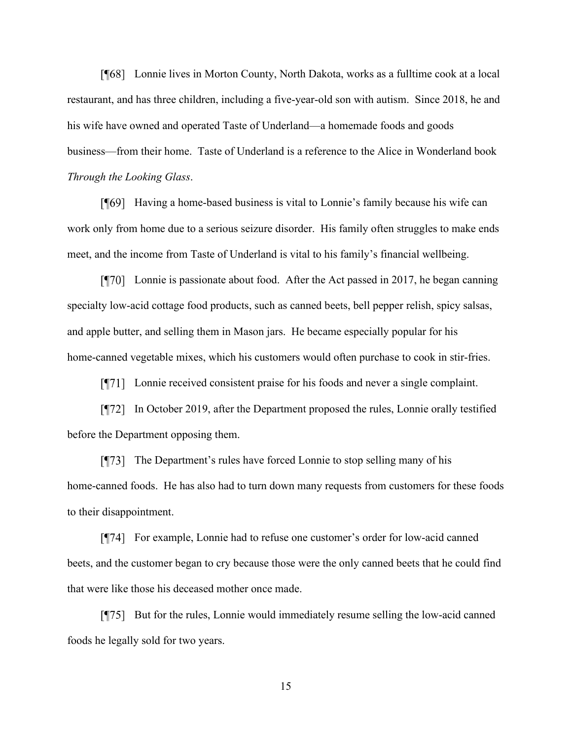Lonnie lives in Morton County, North Dakota, works as a fulltime cook at a local restaurant, and has three children, including a five-year-old son with autism. Since 2018, he and his wife have owned and operated Taste of Underland—a homemade foods and goods business—from their home. Taste of Underland is a reference to the Alice in Wonderland book *Through the Looking Glass*.

Having a home-based business is vital to Lonnie's family because his wife can work only from home due to a serious seizure disorder. His family often struggles to make ends meet, and the income from Taste of Underland is vital to his family's financial wellbeing.

 $\lceil \sqrt{970} \rceil$  Lonnie is passionate about food. After the Act passed in 2017, he began canning specialty low-acid cottage food products, such as canned beets, bell pepper relish, spicy salsas, and apple butter, and selling them in Mason jars. He became especially popular for his home-canned vegetable mixes, which his customers would often purchase to cook in stir-fries.

[\meta<sub>171]</sub> Lonnie received consistent praise for his foods and never a single complaint.

In October 2019, after the Department proposed the rules, Lonnie orally testified before the Department opposing them.

The Department's rules have forced Lonnie to stop selling many of his home-canned foods. He has also had to turn down many requests from customers for these foods to their disappointment.

For example, Lonnie had to refuse one customer's order for low-acid canned beets, and the customer began to cry because those were the only canned beets that he could find that were like those his deceased mother once made.

[¶75] But for the rules, Lonnie would immediately resume selling the low-acid canned foods he legally sold for two years.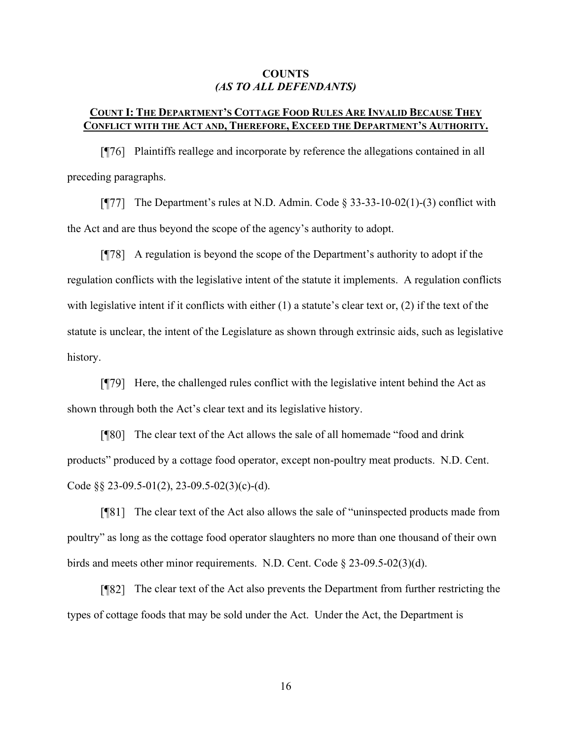# **COUNTS** *(AS TO ALL DEFENDANTS)*

# **COUNT I: THE DEPARTMENT'S COTTAGE FOOD RULES ARE INVALID BECAUSE THEY CONFLICT WITH THE ACT AND, THEREFORE, EXCEED THE DEPARTMENT'S AUTHORITY.**

Plaintiffs reallege and incorporate by reference the allegations contained in all preceding paragraphs.

[ $\P$ 77] The Department's rules at N.D. Admin. Code § 33-33-10-02(1)-(3) conflict with the Act and are thus beyond the scope of the agency's authority to adopt.

A regulation is beyond the scope of the Department's authority to adopt if the regulation conflicts with the legislative intent of the statute it implements. A regulation conflicts with legislative intent if it conflicts with either (1) a statute's clear text or, (2) if the text of the statute is unclear, the intent of the Legislature as shown through extrinsic aids, such as legislative history.

 $\lceil \frac{1}{2} \rceil$  Here, the challenged rules conflict with the legislative intent behind the Act as shown through both the Act's clear text and its legislative history.

The clear text of the Act allows the sale of all homemade "food and drink products" produced by a cottage food operator, except non-poultry meat products. N.D. Cent. Code  $\S$ § 23-09.5-01(2), 23-09.5-02(3)(c)-(d).

The clear text of the Act also allows the sale of "uninspected products made from poultry" as long as the cottage food operator slaughters no more than one thousand of their own birds and meets other minor requirements. N.D. Cent. Code § 23-09.5-02(3)(d).

The clear text of the Act also prevents the Department from further restricting the types of cottage foods that may be sold under the Act. Under the Act, the Department is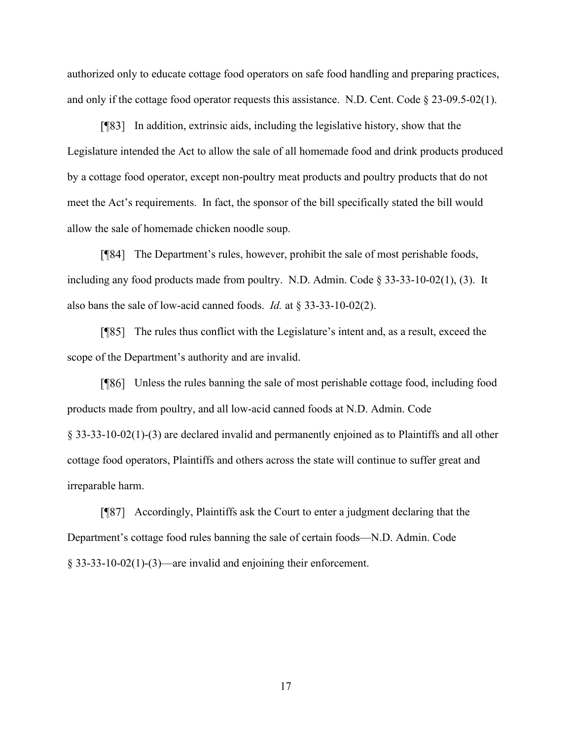authorized only to educate cottage food operators on safe food handling and preparing practices, and only if the cottage food operator requests this assistance. N.D. Cent. Code  $\S 23-09.5-02(1)$ .

In addition, extrinsic aids, including the legislative history, show that the Legislature intended the Act to allow the sale of all homemade food and drink products produced by a cottage food operator, except non-poultry meat products and poultry products that do not meet the Act's requirements. In fact, the sponsor of the bill specifically stated the bill would allow the sale of homemade chicken noodle soup.

The Department's rules, however, prohibit the sale of most perishable foods, including any food products made from poultry. N.D. Admin. Code § 33-33-10-02(1), (3). It also bans the sale of low-acid canned foods. *Id.* at § 33-33-10-02(2).

The rules thus conflict with the Legislature's intent and, as a result, exceed the scope of the Department's authority and are invalid.

Unless the rules banning the sale of most perishable cottage food, including food products made from poultry, and all low-acid canned foods at N.D. Admin. Code § 33-33-10-02(1)-(3) are declared invalid and permanently enjoined as to Plaintiffs and all other cottage food operators, Plaintiffs and others across the state will continue to suffer great and irreparable harm.

Accordingly, Plaintiffs ask the Court to enter a judgment declaring that the Department's cottage food rules banning the sale of certain foods—N.D. Admin. Code § 33-33-10-02(1)-(3)—are invalid and enjoining their enforcement.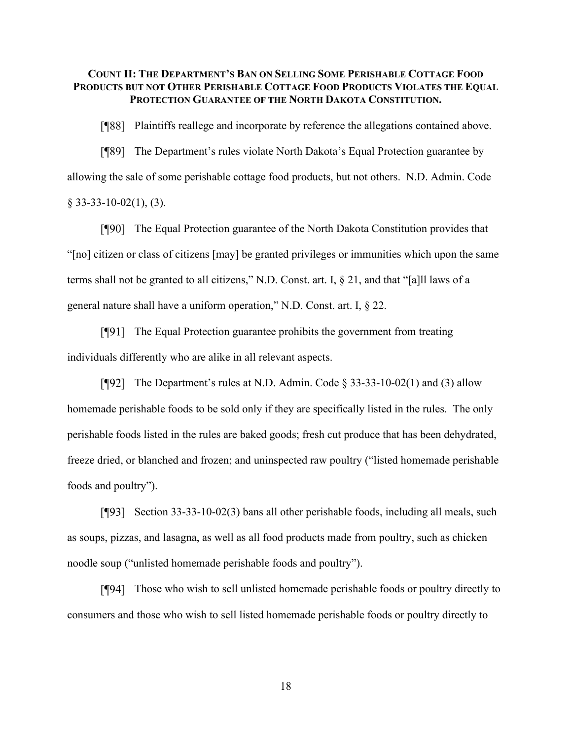# **COUNT II: THE DEPARTMENT'S BAN ON SELLING SOME PERISHABLE COTTAGE FOOD PRODUCTS BUT NOT OTHER PERISHABLE COTTAGE FOOD PRODUCTS VIOLATES THE EQUAL PROTECTION GUARANTEE OF THE NORTH DAKOTA CONSTITUTION.**

Plaintiffs reallege and incorporate by reference the allegations contained above.

The Department's rules violate North Dakota's Equal Protection guarantee by allowing the sale of some perishable cottage food products, but not others. N.D. Admin. Code  $§$  33-33-10-02(1), (3).

The Equal Protection guarantee of the North Dakota Constitution provides that "[no] citizen or class of citizens [may] be granted privileges or immunities which upon the same terms shall not be granted to all citizens," N.D. Const. art. I, § 21, and that "[a]ll laws of a general nature shall have a uniform operation," N.D. Const. art. I, § 22.

The Equal Protection guarantee prohibits the government from treating individuals differently who are alike in all relevant aspects.

[ $\degree$ [92] The Department's rules at N.D. Admin. Code § 33-33-10-02(1) and (3) allow homemade perishable foods to be sold only if they are specifically listed in the rules. The only perishable foods listed in the rules are baked goods; fresh cut produce that has been dehydrated, freeze dried, or blanched and frozen; and uninspected raw poultry ("listed homemade perishable foods and poultry").

 $\lceil \sqrt{93} \rceil$  Section 33-33-10-02(3) bans all other perishable foods, including all meals, such as soups, pizzas, and lasagna, as well as all food products made from poultry, such as chicken noodle soup ("unlisted homemade perishable foods and poultry").

Those who wish to sell unlisted homemade perishable foods or poultry directly to consumers and those who wish to sell listed homemade perishable foods or poultry directly to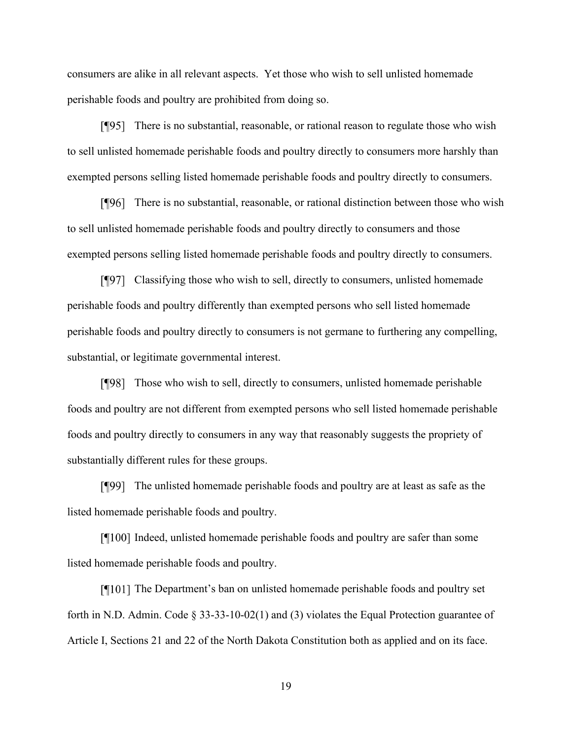consumers are alike in all relevant aspects. Yet those who wish to sell unlisted homemade perishable foods and poultry are prohibited from doing so.

There is no substantial, reasonable, or rational reason to regulate those who wish to sell unlisted homemade perishable foods and poultry directly to consumers more harshly than exempted persons selling listed homemade perishable foods and poultry directly to consumers.

There is no substantial, reasonable, or rational distinction between those who wish to sell unlisted homemade perishable foods and poultry directly to consumers and those exempted persons selling listed homemade perishable foods and poultry directly to consumers.

Classifying those who wish to sell, directly to consumers, unlisted homemade perishable foods and poultry differently than exempted persons who sell listed homemade perishable foods and poultry directly to consumers is not germane to furthering any compelling, substantial, or legitimate governmental interest.

Those who wish to sell, directly to consumers, unlisted homemade perishable foods and poultry are not different from exempted persons who sell listed homemade perishable foods and poultry directly to consumers in any way that reasonably suggests the propriety of substantially different rules for these groups.

The unlisted homemade perishable foods and poultry are at least as safe as the listed homemade perishable foods and poultry.

 $\lceil \eta \rceil 100 \rceil$  Indeed, unlisted homemade perishable foods and poultry are safer than some listed homemade perishable foods and poultry.

The Department's ban on unlisted homemade perishable foods and poultry set forth in N.D. Admin. Code § 33-33-10-02(1) and (3) violates the Equal Protection guarantee of Article I, Sections 21 and 22 of the North Dakota Constitution both as applied and on its face.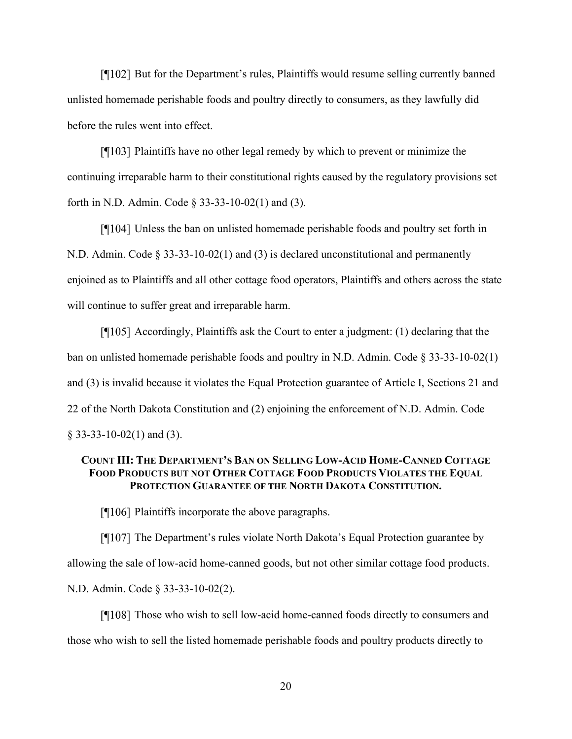[¶102] But for the Department's rules, Plaintiffs would resume selling currently banned unlisted homemade perishable foods and poultry directly to consumers, as they lawfully did before the rules went into effect.

[¶103] Plaintiffs have no other legal remedy by which to prevent or minimize the continuing irreparable harm to their constitutional rights caused by the regulatory provisions set forth in N.D. Admin. Code § 33-33-10-02(1) and (3).

Unless the ban on unlisted homemade perishable foods and poultry set forth in N.D. Admin. Code § 33-33-10-02(1) and (3) is declared unconstitutional and permanently enjoined as to Plaintiffs and all other cottage food operators, Plaintiffs and others across the state will continue to suffer great and irreparable harm.

 $\P$ [105] Accordingly, Plaintiffs ask the Court to enter a judgment: (1) declaring that the ban on unlisted homemade perishable foods and poultry in N.D. Admin. Code § 33-33-10-02(1) and (3) is invalid because it violates the Equal Protection guarantee of Article I, Sections 21 and 22 of the North Dakota Constitution and (2) enjoining the enforcement of N.D. Admin. Code § 33-33-10-02(1) and (3).

# **COUNT III: THE DEPARTMENT'S BAN ON SELLING LOW-ACID HOME-CANNED COTTAGE FOOD PRODUCTS BUT NOT OTHER COTTAGE FOOD PRODUCTS VIOLATES THE EQUAL PROTECTION GUARANTEE OF THE NORTH DAKOTA CONSTITUTION.**

[¶106] Plaintiffs incorporate the above paragraphs.

The Department's rules violate North Dakota's Equal Protection guarantee by allowing the sale of low-acid home-canned goods, but not other similar cottage food products. N.D. Admin. Code § 33-33-10-02(2).

[¶108] Those who wish to sell low-acid home-canned foods directly to consumers and those who wish to sell the listed homemade perishable foods and poultry products directly to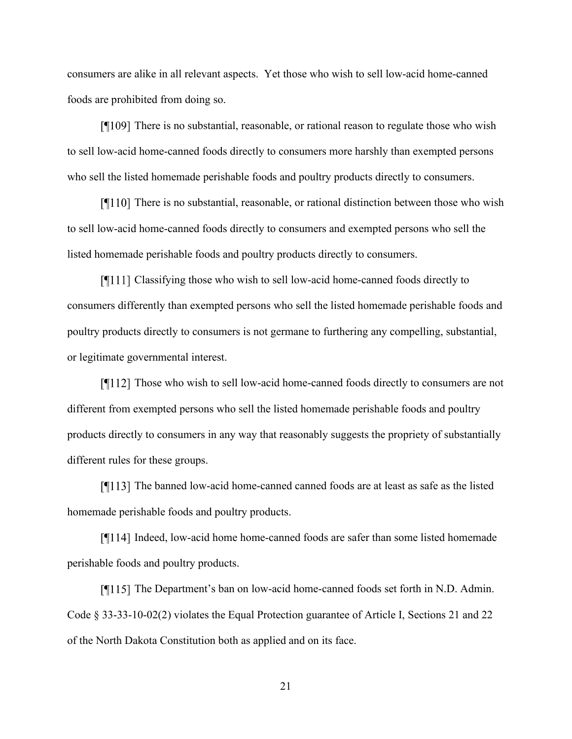consumers are alike in all relevant aspects. Yet those who wish to sell low-acid home-canned foods are prohibited from doing so.

[¶109] There is no substantial, reasonable, or rational reason to regulate those who wish to sell low-acid home-canned foods directly to consumers more harshly than exempted persons who sell the listed homemade perishable foods and poultry products directly to consumers.

 $\P$ [110] There is no substantial, reasonable, or rational distinction between those who wish to sell low-acid home-canned foods directly to consumers and exempted persons who sell the listed homemade perishable foods and poultry products directly to consumers.

 $\lceil \cdot \cdot \rceil$  Classifying those who wish to sell low-acid home-canned foods directly to consumers differently than exempted persons who sell the listed homemade perishable foods and poultry products directly to consumers is not germane to furthering any compelling, substantial, or legitimate governmental interest.

[¶112] Those who wish to sell low-acid home-canned foods directly to consumers are not different from exempted persons who sell the listed homemade perishable foods and poultry products directly to consumers in any way that reasonably suggests the propriety of substantially different rules for these groups.

[¶113] The banned low-acid home-canned canned foods are at least as safe as the listed homemade perishable foods and poultry products.

 $\lceil \cdot \rceil$  I larger 14 lndeed, low-acid home home-canned foods are safer than some listed homemade perishable foods and poultry products.

The Department's ban on low-acid home-canned foods set forth in N.D. Admin. Code § 33-33-10-02(2) violates the Equal Protection guarantee of Article I, Sections 21 and 22 of the North Dakota Constitution both as applied and on its face.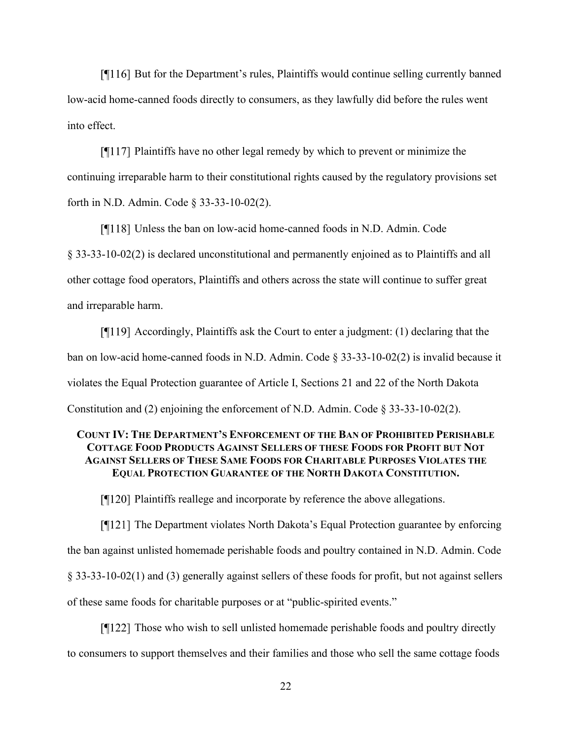[¶116] But for the Department's rules, Plaintiffs would continue selling currently banned low-acid home-canned foods directly to consumers, as they lawfully did before the rules went into effect.

 $\P$ [117] Plaintiffs have no other legal remedy by which to prevent or minimize the continuing irreparable harm to their constitutional rights caused by the regulatory provisions set forth in N.D. Admin. Code § 33-33-10-02(2).

[¶118] Unless the ban on low-acid home-canned foods in N.D. Admin. Code § 33-33-10-02(2) is declared unconstitutional and permanently enjoined as to Plaintiffs and all other cottage food operators, Plaintiffs and others across the state will continue to suffer great and irreparable harm.

 $\lceil \eta \rceil 19$  Accordingly, Plaintiffs ask the Court to enter a judgment: (1) declaring that the ban on low-acid home-canned foods in N.D. Admin. Code § 33-33-10-02(2) is invalid because it violates the Equal Protection guarantee of Article I, Sections 21 and 22 of the North Dakota Constitution and (2) enjoining the enforcement of N.D. Admin. Code § 33-33-10-02(2).

# **COUNT IV: THE DEPARTMENT'S ENFORCEMENT OF THE BAN OF PROHIBITED PERISHABLE COTTAGE FOOD PRODUCTS AGAINST SELLERS OF THESE FOODS FOR PROFIT BUT NOT AGAINST SELLERS OF THESE SAME FOODS FOR CHARITABLE PURPOSES VIOLATES THE EQUAL PROTECTION GUARANTEE OF THE NORTH DAKOTA CONSTITUTION.**

[¶120] Plaintiffs reallege and incorporate by reference the above allegations.

The Department violates North Dakota's Equal Protection guarantee by enforcing the ban against unlisted homemade perishable foods and poultry contained in N.D. Admin. Code § 33-33-10-02(1) and (3) generally against sellers of these foods for profit, but not against sellers of these same foods for charitable purposes or at "public-spirited events."

Those who wish to sell unlisted homemade perishable foods and poultry directly to consumers to support themselves and their families and those who sell the same cottage foods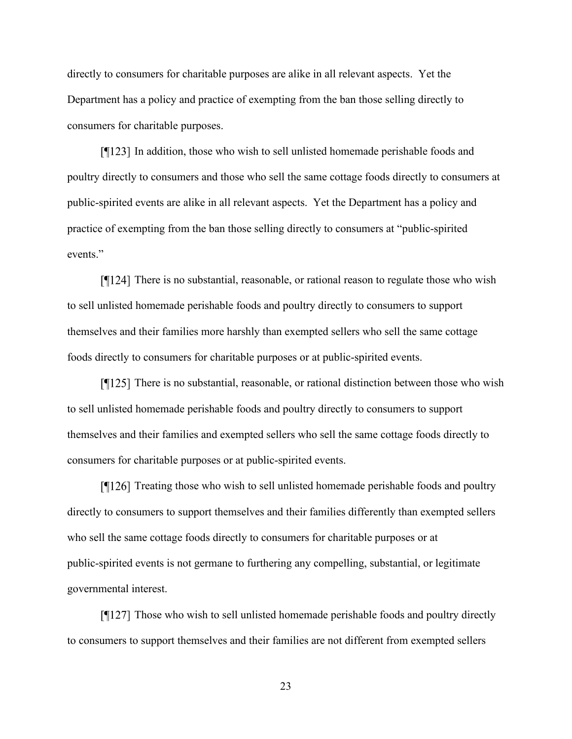directly to consumers for charitable purposes are alike in all relevant aspects. Yet the Department has a policy and practice of exempting from the ban those selling directly to consumers for charitable purposes.

[¶123] In addition, those who wish to sell unlisted homemade perishable foods and poultry directly to consumers and those who sell the same cottage foods directly to consumers at public-spirited events are alike in all relevant aspects. Yet the Department has a policy and practice of exempting from the ban those selling directly to consumers at "public-spirited events."

[¶124] There is no substantial, reasonable, or rational reason to regulate those who wish to sell unlisted homemade perishable foods and poultry directly to consumers to support themselves and their families more harshly than exempted sellers who sell the same cottage foods directly to consumers for charitable purposes or at public-spirited events.

[¶125] There is no substantial, reasonable, or rational distinction between those who wish to sell unlisted homemade perishable foods and poultry directly to consumers to support themselves and their families and exempted sellers who sell the same cottage foods directly to consumers for charitable purposes or at public-spirited events.

[¶126] Treating those who wish to sell unlisted homemade perishable foods and poultry directly to consumers to support themselves and their families differently than exempted sellers who sell the same cottage foods directly to consumers for charitable purposes or at public-spirited events is not germane to furthering any compelling, substantial, or legitimate governmental interest.

[¶127] Those who wish to sell unlisted homemade perishable foods and poultry directly to consumers to support themselves and their families are not different from exempted sellers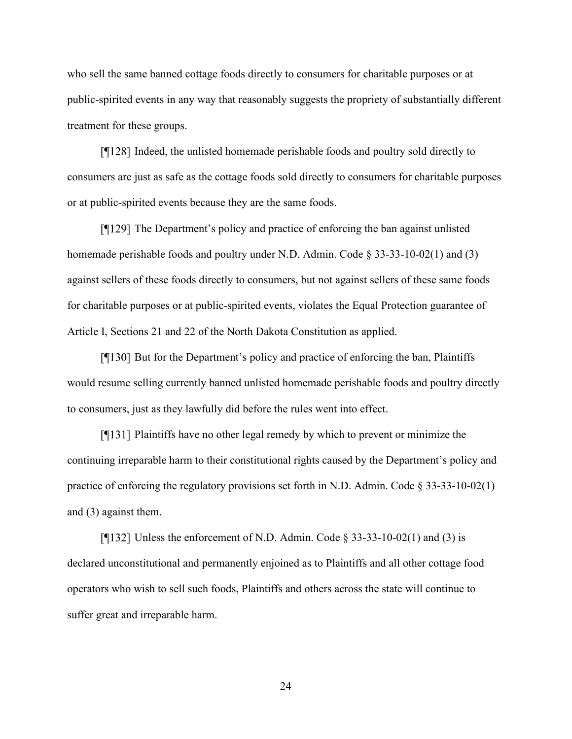who sell the same banned cottage foods directly to consumers for charitable purposes or at public-spirited events in any way that reasonably suggests the propriety of substantially different treatment for these groups.

Indeed, the unlisted homemade perishable foods and poultry sold directly to consumers are just as safe as the cottage foods sold directly to consumers for charitable purposes or at public-spirited events because they are the same foods.

 $\lceil \cdot \cdot \rceil$  The Department's policy and practice of enforcing the ban against unlisted homemade perishable foods and poultry under N.D. Admin. Code § 33-33-10-02(1) and (3) against sellers of these foods directly to consumers, but not against sellers of these same foods for charitable purposes or at public-spirited events, violates the Equal Protection guarantee of Article I, Sections 21 and 22 of the North Dakota Constitution as applied.

 $\lceil \cdot \cdot \rceil$  But for the Department's policy and practice of enforcing the ban, Plaintiffs would resume selling currently banned unlisted homemade perishable foods and poultry directly to consumers, just as they lawfully did before the rules went into effect.

[¶131] Plaintiffs have no other legal remedy by which to prevent or minimize the continuing irreparable harm to their constitutional rights caused by the Department's policy and practice of enforcing the regulatory provisions set forth in N.D. Admin. Code § 33-33-10-02(1) and (3) against them.

[ $\P$ [132] Unless the enforcement of N.D. Admin. Code § 33-33-10-02(1) and (3) is declared unconstitutional and permanently enjoined as to Plaintiffs and all other cottage food operators who wish to sell such foods, Plaintiffs and others across the state will continue to suffer great and irreparable harm.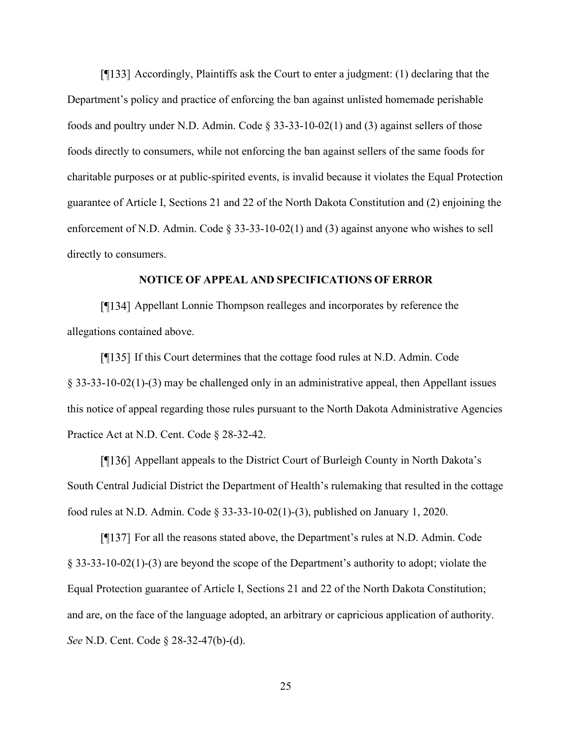$\lceil \cdot \cdot \rceil$  Accordingly, Plaintiffs ask the Court to enter a judgment: (1) declaring that the Department's policy and practice of enforcing the ban against unlisted homemade perishable foods and poultry under N.D. Admin. Code § 33-33-10-02(1) and (3) against sellers of those foods directly to consumers, while not enforcing the ban against sellers of the same foods for charitable purposes or at public-spirited events, is invalid because it violates the Equal Protection guarantee of Article I, Sections 21 and 22 of the North Dakota Constitution and (2) enjoining the enforcement of N.D. Admin. Code  $\S 33-33-10-02(1)$  and (3) against anyone who wishes to sell directly to consumers.

## **NOTICE OF APPEAL AND SPECIFICATIONS OF ERROR**

[¶134] Appellant Lonnie Thompson realleges and incorporates by reference the allegations contained above.

 $\lceil \cdot \cdot \rceil$  If this Court determines that the cottage food rules at N.D. Admin. Code § 33-33-10-02(1)-(3) may be challenged only in an administrative appeal, then Appellant issues this notice of appeal regarding those rules pursuant to the North Dakota Administrative Agencies Practice Act at N.D. Cent. Code § 28-32-42.

[136] Appellant appeals to the District Court of Burleigh County in North Dakota's South Central Judicial District the Department of Health's rulemaking that resulted in the cottage food rules at N.D. Admin. Code § 33-33-10-02(1)-(3), published on January 1, 2020.

 $\lceil \cdot \rceil$  Ter all the reasons stated above, the Department's rules at N.D. Admin. Code § 33-33-10-02(1)-(3) are beyond the scope of the Department's authority to adopt; violate the Equal Protection guarantee of Article I, Sections 21 and 22 of the North Dakota Constitution; and are, on the face of the language adopted, an arbitrary or capricious application of authority. *See* N.D. Cent. Code § 28-32-47(b)-(d).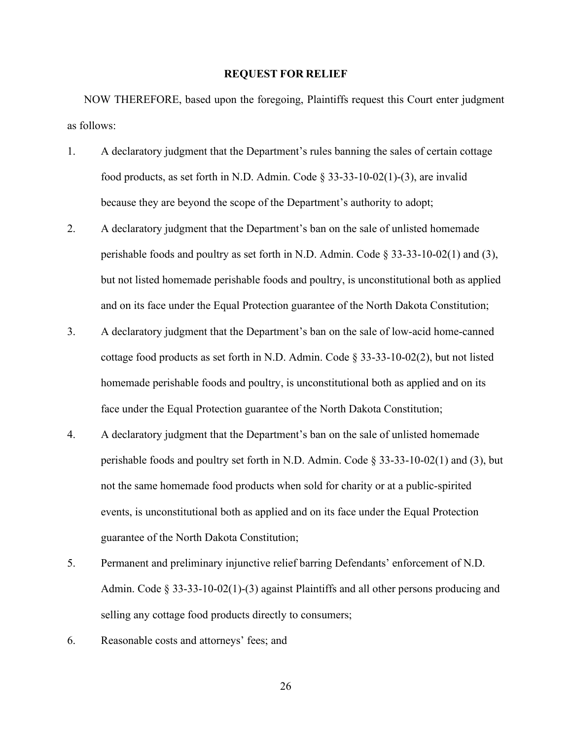## **REQUEST FOR RELIEF**

NOW THEREFORE, based upon the foregoing, Plaintiffs request this Court enter judgment as follows:

- 1. A declaratory judgment that the Department's rules banning the sales of certain cottage food products, as set forth in N.D. Admin. Code  $\S 33-33-10-02(1)$ -(3), are invalid because they are beyond the scope of the Department's authority to adopt;
- 2. A declaratory judgment that the Department's ban on the sale of unlisted homemade perishable foods and poultry as set forth in N.D. Admin. Code § 33-33-10-02(1) and (3), but not listed homemade perishable foods and poultry, is unconstitutional both as applied and on its face under the Equal Protection guarantee of the North Dakota Constitution;
- 3. A declaratory judgment that the Department's ban on the sale of low-acid home-canned cottage food products as set forth in N.D. Admin. Code  $\S 33-33-10-02(2)$ , but not listed homemade perishable foods and poultry, is unconstitutional both as applied and on its face under the Equal Protection guarantee of the North Dakota Constitution;
- 4. A declaratory judgment that the Department's ban on the sale of unlisted homemade perishable foods and poultry set forth in N.D. Admin. Code § 33-33-10-02(1) and (3), but not the same homemade food products when sold for charity or at a public-spirited events, is unconstitutional both as applied and on its face under the Equal Protection guarantee of the North Dakota Constitution;
- 5. Permanent and preliminary injunctive relief barring Defendants' enforcement of N.D. Admin. Code § 33-33-10-02(1)-(3) against Plaintiffs and all other persons producing and selling any cottage food products directly to consumers;
- 6. Reasonable costs and attorneys' fees; and